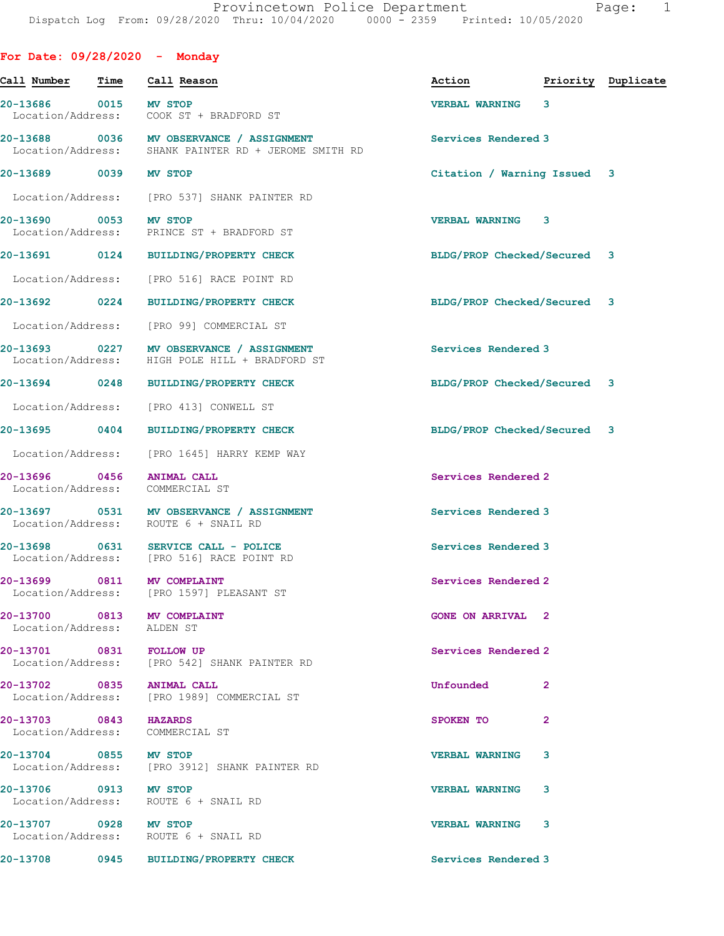| For Date: $09/28/2020 -$ Monday                          |                                                                                                  |                                  |   |  |
|----------------------------------------------------------|--------------------------------------------------------------------------------------------------|----------------------------------|---|--|
| <u>Call Number Time</u>                                  | Call Reason                                                                                      | Action <b>Priority</b> Duplicate |   |  |
| 20-13686 0015 MV STOP                                    | Location/Address: COOK ST + BRADFORD ST                                                          | VERBAL WARNING 3                 |   |  |
|                                                          | 20-13688 0036 MV OBSERVANCE / ASSIGNMENT<br>Location/Address: SHANK PAINTER RD + JEROME SMITH RD | Services Rendered 3              |   |  |
| 20-13689 0039 MV STOP                                    |                                                                                                  | Citation / Warning Issued 3      |   |  |
|                                                          | Location/Address: [PRO 537] SHANK PAINTER RD                                                     |                                  |   |  |
| 20-13690 0053 MV STOP                                    | Location/Address: PRINCE ST + BRADFORD ST                                                        | <b>VERBAL WARNING 3</b>          |   |  |
|                                                          | 20-13691 0124 BUILDING/PROPERTY CHECK                                                            | BLDG/PROP Checked/Secured 3      |   |  |
|                                                          | Location/Address: [PRO 516] RACE POINT RD                                                        |                                  |   |  |
|                                                          | 20-13692 0224 BUILDING/PROPERTY CHECK                                                            | BLDG/PROP Checked/Secured 3      |   |  |
|                                                          | Location/Address: [PRO 99] COMMERCIAL ST                                                         |                                  |   |  |
| Location/Address:                                        | 20-13693 0227 MV OBSERVANCE / ASSIGNMENT<br>HIGH POLE HILL + BRADFORD ST                         | Services Rendered 3              |   |  |
|                                                          | 20-13694 0248 BUILDING/PROPERTY CHECK                                                            | BLDG/PROP Checked/Secured 3      |   |  |
|                                                          | Location/Address: [PRO 413] CONWELL ST                                                           |                                  |   |  |
|                                                          | 20-13695 0404 BUILDING/PROPERTY CHECK                                                            | BLDG/PROP Checked/Secured 3      |   |  |
|                                                          | Location/Address: [PRO 1645] HARRY KEMP WAY                                                      |                                  |   |  |
| 20-13696 0456<br>Location/Address:                       | <b>ANIMAL CALL</b><br>COMMERCIAL ST                                                              | Services Rendered 2              |   |  |
|                                                          | 20-13697 0531 MV OBSERVANCE / ASSIGNMENT<br>Location/Address: ROUTE 6 + SNAIL RD                 | Services Rendered 3              |   |  |
|                                                          | 20-13698 0631 SERVICE CALL - POLICE<br>Location/Address: [PRO 516] RACE POINT RD                 | Services Rendered 3              |   |  |
| 20-13699 0811 MV COMPLAINT                               | Location/Address: [PRO 1597] PLEASANT ST                                                         | Services Rendered 2              |   |  |
| 20-13700 0813 MV COMPLAINT<br>Location/Address: ALDEN ST |                                                                                                  | <b>GONE ON ARRIVAL 2</b>         |   |  |
| 20-13701 0831 FOLLOW UP                                  | Location/Address: [PRO 542] SHANK PAINTER RD                                                     | Services Rendered 2              |   |  |
| 20-13702 0835 ANIMAL CALL                                | Location/Address: [PRO 1989] COMMERCIAL ST                                                       | Unfounded 2                      |   |  |
| 20-13703 0843 HAZARDS<br>Location/Address: COMMERCIAL ST |                                                                                                  | SPOKEN TO                        | 2 |  |
| 20-13704 0855 MV STOP                                    | Location/Address: [PRO 3912] SHANK PAINTER RD                                                    | <b>VERBAL WARNING</b>            | 3 |  |
| 20-13706 0913 MV STOP                                    | Location/Address: ROUTE 6 + SNAIL RD                                                             | <b>VERBAL WARNING</b>            | 3 |  |
| 20-13707 0928 MV STOP                                    | Location/Address: ROUTE 6 + SNAIL RD                                                             | VERBAL WARNING 3                 |   |  |
|                                                          | 20-13708 0945 BUILDING/PROPERTY CHECK                                                            | Services Rendered 3              |   |  |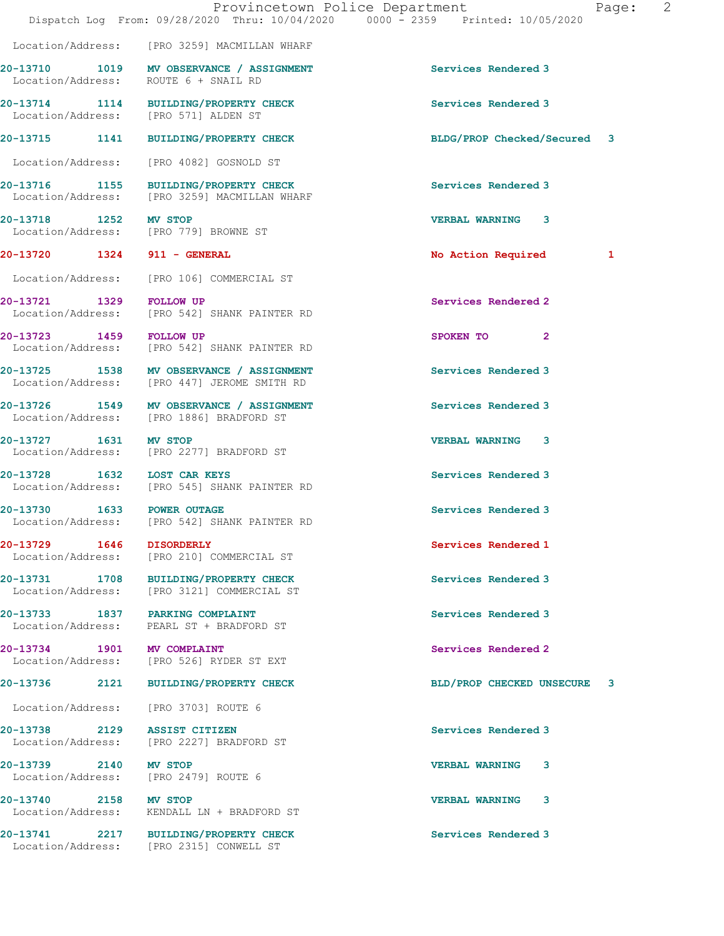|                              |                                                                                         | Provincetown Police Department<br>2<br>Page:<br>Dispatch Log From: 09/28/2020 Thru: 10/04/2020 0000 - 2359 Printed: 10/05/2020 |
|------------------------------|-----------------------------------------------------------------------------------------|--------------------------------------------------------------------------------------------------------------------------------|
|                              | Location/Address: [PRO 3259] MACMILLAN WHARF                                            |                                                                                                                                |
|                              | 20-13710 1019 MV OBSERVANCE / ASSIGNMENT<br>Location/Address: ROUTE 6 + SNAIL RD        | Services Rendered 3                                                                                                            |
|                              | 20-13714 1114 BUILDING/PROPERTY CHECK<br>Location/Address: [PRO 571] ALDEN ST           | Services Rendered 3                                                                                                            |
|                              | 20-13715 1141 BUILDING/PROPERTY CHECK                                                   | BLDG/PROP Checked/Secured 3                                                                                                    |
|                              | Location/Address: [PRO 4082] GOSNOLD ST                                                 |                                                                                                                                |
|                              | 20-13716 1155 BUILDING/PROPERTY CHECK<br>Location/Address: [PRO 3259] MACMILLAN WHARF   | Services Rendered 3                                                                                                            |
| 20-13718 1252 MV STOP        | Location/Address: [PRO 779] BROWNE ST                                                   | <b>VERBAL WARNING 3</b>                                                                                                        |
| 20-13720 1324 911 - GENERAL  |                                                                                         | No Action Required<br>1                                                                                                        |
|                              | Location/Address: [PRO 106] COMMERCIAL ST                                               |                                                                                                                                |
|                              | 20-13721 1329 FOLLOW UP<br>Location/Address: [PRO 542] SHANK PAINTER RD                 | Services Rendered 2                                                                                                            |
| 20-13723 1459 FOLLOW UP      | Location/Address: [PRO 542] SHANK PAINTER RD                                            | SPOKEN TO<br>$\mathbf{2}$                                                                                                      |
|                              | 20-13725 1538 MV OBSERVANCE / ASSIGNMENT<br>Location/Address: [PRO 447] JEROME SMITH RD | Services Rendered 3                                                                                                            |
|                              | 20-13726 1549 MV OBSERVANCE / ASSIGNMENT<br>Location/Address: [PRO 1886] BRADFORD ST    | Services Rendered 3                                                                                                            |
| 20-13727 1631 MV STOP        | Location/Address: [PRO 2277] BRADFORD ST                                                | <b>VERBAL WARNING 3</b>                                                                                                        |
| 20-13728 1632 LOST CAR KEYS  | Location/Address: [PRO 545] SHANK PAINTER RD                                            | Services Rendered 3                                                                                                            |
| 20-13730 1633 POWER OUTAGE   | Location/Address: [PRO 542] SHANK PAINTER RD                                            | Services Rendered 3                                                                                                            |
|                              | Location/Address: [PRO 210] COMMERCIAL ST                                               | Services Rendered 1                                                                                                            |
|                              | 20-13731 1708 BUILDING/PROPERTY CHECK<br>Location/Address: [PRO 3121] COMMERCIAL ST     | Services Rendered 3                                                                                                            |
|                              | 20-13733 1837 PARKING COMPLAINT<br>Location/Address: PEARL ST + BRADFORD ST             | Services Rendered 3                                                                                                            |
| 20-13734 1901 MV COMPLAINT   | Location/Address: [PRO 526] RYDER ST EXT                                                | Services Rendered 2                                                                                                            |
|                              | 20-13736 2121 BUILDING/PROPERTY CHECK                                                   | BLD/PROP CHECKED UNSECURE<br>3                                                                                                 |
|                              | Location/Address: [PRO 3703] ROUTE 6                                                    |                                                                                                                                |
| 20-13738 2129 ASSIST CITIZEN | Location/Address: [PRO 2227] BRADFORD ST                                                | Services Rendered 3                                                                                                            |
| 20-13739 2140 MV STOP        | Location/Address: [PRO 2479] ROUTE 6                                                    | <b>VERBAL WARNING</b><br>3                                                                                                     |
| 20-13740 2158 MV STOP        | Location/Address: KENDALL LN + BRADFORD ST                                              | VERBAL WARNING 3                                                                                                               |
|                              | 20-13741 2217 BUILDING/PROPERTY CHECK<br>Location/Address: [PRO 2315] CONWELL ST        | Services Rendered 3                                                                                                            |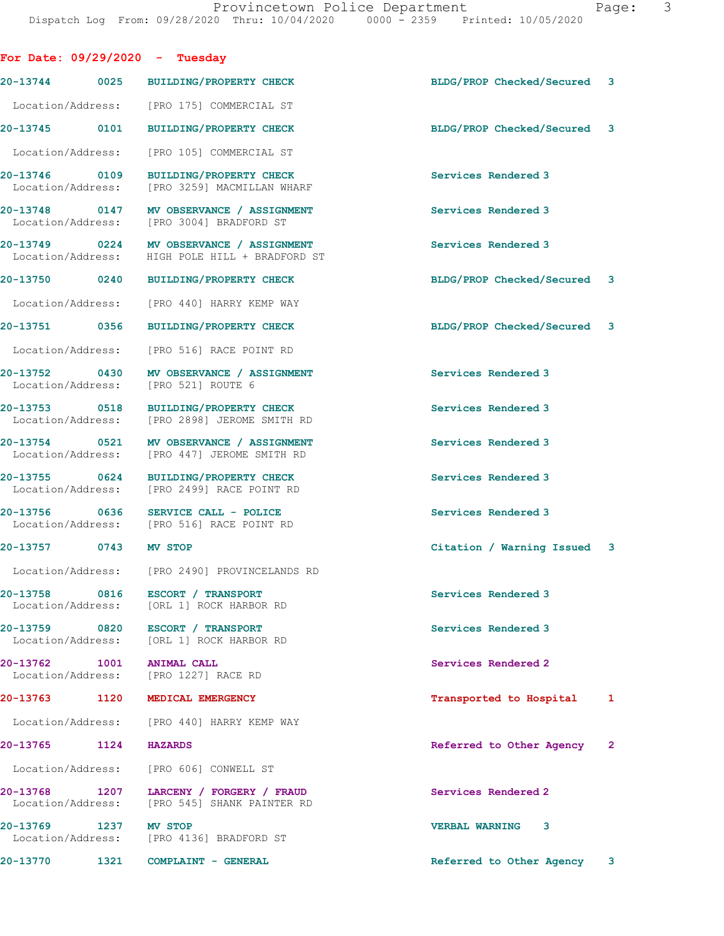| For Date: $09/29/2020 - Tuesday$ |                                                                                            |                             |  |
|----------------------------------|--------------------------------------------------------------------------------------------|-----------------------------|--|
|                                  | 20-13744 0025 BUILDING/PROPERTY CHECK                                                      | BLDG/PROP Checked/Secured 3 |  |
|                                  | Location/Address: [PRO 175] COMMERCIAL ST                                                  |                             |  |
|                                  | 20-13745 0101 BUILDING/PROPERTY CHECK                                                      | BLDG/PROP Checked/Secured 3 |  |
|                                  | Location/Address: [PRO 105] COMMERCIAL ST                                                  |                             |  |
| 20-13746 0109                    | BUILDING/PROPERTY CHECK<br>Location/Address: [PRO 3259] MACMILLAN WHARF                    | Services Rendered 3         |  |
|                                  | 20-13748 0147 MV OBSERVANCE / ASSIGNMENT<br>Location/Address: [PRO 3004] BRADFORD ST       | Services Rendered 3         |  |
|                                  | 20-13749 0224 MV OBSERVANCE / ASSIGNMENT<br>Location/Address: HIGH POLE HILL + BRADFORD ST | Services Rendered 3         |  |
|                                  | 20-13750 0240 BUILDING/PROPERTY CHECK                                                      | BLDG/PROP Checked/Secured 3 |  |
|                                  | Location/Address: [PRO 440] HARRY KEMP WAY                                                 |                             |  |
|                                  | 20-13751 0356 BUILDING/PROPERTY CHECK                                                      | BLDG/PROP Checked/Secured 3 |  |
|                                  | Location/Address: [PRO 516] RACE POINT RD                                                  |                             |  |
|                                  | 20-13752 0430 MV OBSERVANCE / ASSIGNMENT<br>Location/Address: [PRO 521] ROUTE 6            | Services Rendered 3         |  |
|                                  | 20-13753 0518 BUILDING/PROPERTY CHECK<br>Location/Address: [PRO 2898] JEROME SMITH RD      | Services Rendered 3         |  |
|                                  | 20-13754 0521 MV OBSERVANCE / ASSIGNMENT<br>Location/Address: [PRO 447] JEROME SMITH RD    | Services Rendered 3         |  |
|                                  | 20-13755 0624 BUILDING/PROPERTY CHECK<br>Location/Address: [PRO 2499] RACE POINT RD        | Services Rendered 3         |  |
|                                  | 20-13756 0636 SERVICE CALL - POLICE<br>Location/Address: [PRO 516] RACE POINT RD           | Services Rendered 3         |  |
| 20-13757 0743 MV STOP            |                                                                                            | Citation / Warning Issued 3 |  |
|                                  | Location/Address: [PRO 2490] PROVINCELANDS RD                                              |                             |  |
|                                  | 20-13758 0816 ESCORT / TRANSPORT<br>Location/Address: [ORL 1] ROCK HARBOR RD               | Services Rendered 3         |  |
|                                  | 20-13759 0820 ESCORT / TRANSPORT<br>Location/Address: [ORL 1] ROCK HARBOR RD               | Services Rendered 3         |  |
| 20-13762 1001 ANIMAL CALL        | Location/Address: [PRO 1227] RACE RD                                                       | Services Rendered 2         |  |
|                                  | 20-13763 1120 MEDICAL EMERGENCY                                                            | Transported to Hospital 1   |  |
|                                  | Location/Address: [PRO 440] HARRY KEMP WAY                                                 |                             |  |
| 20-13765 1124 HAZARDS            |                                                                                            | Referred to Other Agency 2  |  |
|                                  | Location/Address: [PRO 606] CONWELL ST                                                     |                             |  |
|                                  | 20-13768 1207 LARCENY / FORGERY / FRAUD<br>Location/Address: [PRO 545] SHANK PAINTER RD    | Services Rendered 2         |  |
| 20-13769 1237 MV STOP            | Location/Address: [PRO 4136] BRADFORD ST                                                   | VERBAL WARNING 3            |  |
|                                  | 20-13770 1321 COMPLAINT - GENERAL                                                          | Referred to Other Agency 3  |  |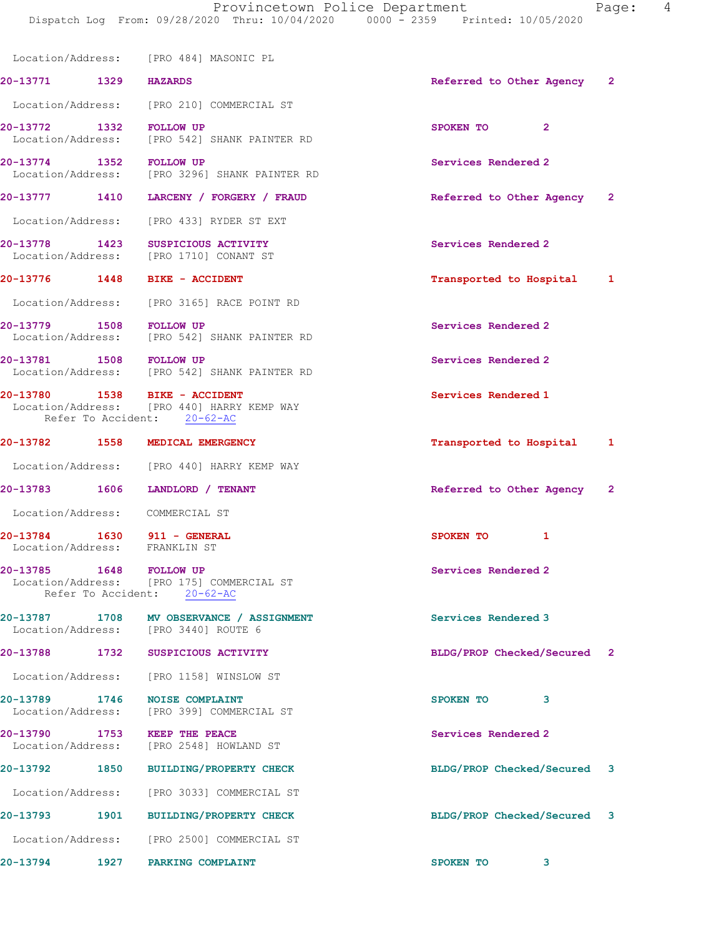|                               |      | Location/Address: [PRO 484] MASONIC PL                                                                     |                             |   |              |
|-------------------------------|------|------------------------------------------------------------------------------------------------------------|-----------------------------|---|--------------|
| 20-13771 1329 HAZARDS         |      |                                                                                                            | Referred to Other Agency 2  |   |              |
|                               |      | Location/Address: [PRO 210] COMMERCIAL ST                                                                  |                             |   |              |
| 20-13772 1332                 |      | <b>FOLLOW UP</b><br>Location/Address: [PRO 542] SHANK PAINTER RD                                           | SPOKEN TO 2                 |   |              |
| 20-13774 1352 FOLLOW UP       |      | Location/Address: [PRO 3296] SHANK PAINTER RD                                                              | Services Rendered 2         |   |              |
|                               |      | 20-13777 1410 LARCENY / FORGERY / FRAUD                                                                    | Referred to Other Agency 2  |   |              |
|                               |      | Location/Address: [PRO 433] RYDER ST EXT                                                                   |                             |   |              |
| 20-13778 1423                 |      | SUSPICIOUS ACTIVITY<br>Location/Address: [PRO 1710] CONANT ST                                              | Services Rendered 2         |   |              |
|                               |      | 20-13776   1448   BIKE - ACCIDENT                                                                          | Transported to Hospital 1   |   |              |
|                               |      | Location/Address: [PRO 3165] RACE POINT RD                                                                 |                             |   |              |
| 20-13779 1508 FOLLOW UP       |      | Location/Address: [PRO 542] SHANK PAINTER RD                                                               | Services Rendered 2         |   |              |
|                               |      | 20-13781 1508 FOLLOW UP<br>Location/Address: [PRO 542] SHANK PAINTER RD                                    | Services Rendered 2         |   |              |
|                               |      | 20-13780 1538 BIKE - ACCIDENT<br>Location/Address: [PRO 440] HARRY KEMP WAY<br>Refer To Accident: 20-62-AC | Services Rendered 1         |   |              |
|                               |      | 20-13782 1558 MEDICAL EMERGENCY                                                                            | Transported to Hospital     |   | 1            |
|                               |      | Location/Address: [PRO 440] HARRY KEMP WAY                                                                 |                             |   |              |
| 20-13783 1606                 |      | LANDLORD / TENANT                                                                                          | Referred to Other Agency 2  |   |              |
|                               |      | Location/Address: COMMERCIAL ST                                                                            |                             |   |              |
| Location/Address: FRANKLIN ST |      | 20-13784 1630 911 - GENERAL                                                                                | SPOKEN TO                   | 1 |              |
| 20-13785                      | 1648 | <b>FOLLOW UP</b><br>Location/Address: [PRO 175] COMMERCIAL ST<br>Refer To Accident: 20-62-AC               | Services Rendered 2         |   |              |
| 20-13787                      | 1708 | MV OBSERVANCE / ASSIGNMENT<br>Location/Address: [PRO 3440] ROUTE 6                                         | Services Rendered 3         |   |              |
| 20-13788                      | 1732 | SUSPICIOUS ACTIVITY                                                                                        | BLDG/PROP Checked/Secured   |   | $\mathbf{2}$ |
|                               |      | Location/Address: [PRO 1158] WINSLOW ST                                                                    |                             |   |              |
| 20-13789                      | 1746 | <b>NOISE COMPLAINT</b><br>Location/Address: [PRO 399] COMMERCIAL ST                                        | SPOKEN TO                   | 3 |              |
| 20-13790<br>Location/Address: | 1753 | KEEP THE PEACE<br>[PRO 2548] HOWLAND ST                                                                    | Services Rendered 2         |   |              |
| 20-13792                      | 1850 | <b>BUILDING/PROPERTY CHECK</b>                                                                             | BLDG/PROP Checked/Secured 3 |   |              |
| Location/Address:             |      | [PRO 3033] COMMERCIAL ST                                                                                   |                             |   |              |
| 20-13793                      | 1901 | <b>BUILDING/PROPERTY CHECK</b>                                                                             | BLDG/PROP Checked/Secured   |   | 3            |
|                               |      | Location/Address: [PRO 2500] COMMERCIAL ST                                                                 |                             |   |              |
| 20-13794                      | 1927 | PARKING COMPLAINT                                                                                          | <b>SPOKEN TO</b>            | 3 |              |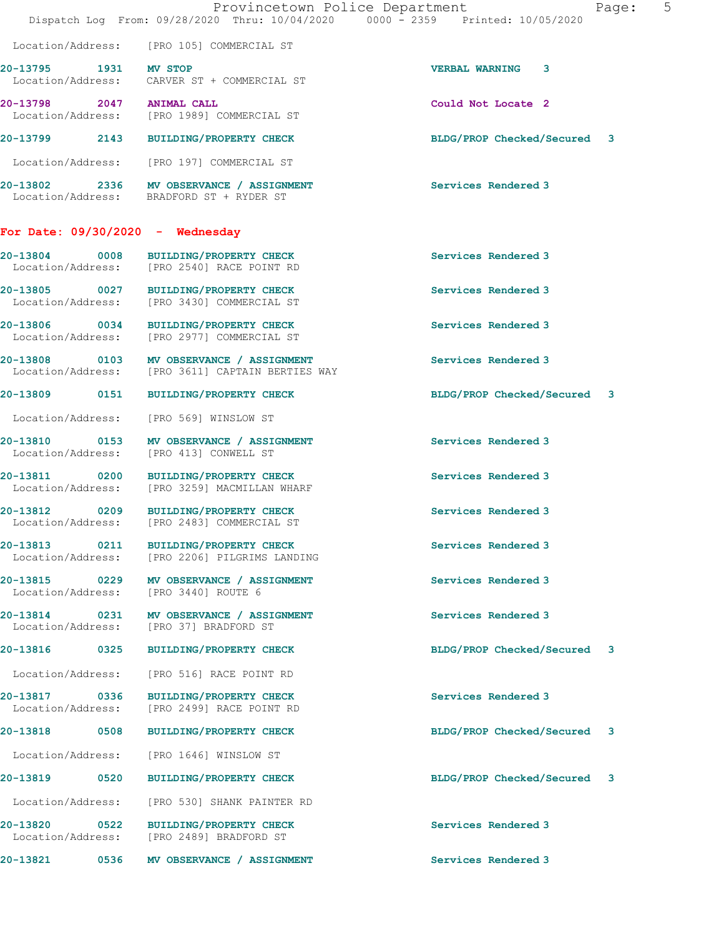|                                        | Provincetown Police Department<br>Dispatch Log From: 09/28/2020 Thru: 10/04/2020 0000 - 2359 Printed: 10/05/2020 |                             | Page: 5 |
|----------------------------------------|------------------------------------------------------------------------------------------------------------------|-----------------------------|---------|
|                                        | Location/Address: [PRO 105] COMMERCIAL ST                                                                        |                             |         |
| 20-13795 1931 MV STOP                  | Location/Address: CARVER ST + COMMERCIAL ST                                                                      | VERBAL WARNING 3            |         |
| 20-13798 2047 ANIMAL CALL              | Location/Address: [PRO 1989] COMMERCIAL ST                                                                       | Could Not Locate 2          |         |
|                                        | 20-13799 2143 BUILDING/PROPERTY CHECK                                                                            | BLDG/PROP Checked/Secured 3 |         |
|                                        | Location/Address: [PRO 197] COMMERCIAL ST                                                                        |                             |         |
|                                        | 20-13802 2336 MV OBSERVANCE / ASSIGNMENT<br>Location/Address: BRADFORD ST + RYDER ST                             | Services Rendered 3         |         |
| For Date: $09/30/2020 -$ Wednesday     |                                                                                                                  |                             |         |
|                                        | 20-13804 0008 BUILDING/PROPERTY CHECK<br>Location/Address: [PRO 2540] RACE POINT RD                              | Services Rendered 3         |         |
|                                        | 20-13805 0027 BUILDING/PROPERTY CHECK<br>Location/Address: [PRO 3430] COMMERCIAL ST                              | Services Rendered 3         |         |
|                                        | 20-13806 0034 BUILDING/PROPERTY CHECK<br>Location/Address: [PRO 2977] COMMERCIAL ST                              | Services Rendered 3         |         |
|                                        | 20-13808 0103 MV OBSERVANCE / ASSIGNMENT<br>Location/Address: [PRO 3611] CAPTAIN BERTIES WAY                     | Services Rendered 3         |         |
|                                        | 20-13809 0151 BUILDING/PROPERTY CHECK                                                                            | BLDG/PROP Checked/Secured 3 |         |
| Location/Address: [PRO 569] WINSLOW ST |                                                                                                                  |                             |         |
| Location/Address: [PRO 413] CONWELL ST | 20-13810 0153 MV OBSERVANCE / ASSIGNMENT                                                                         | Services Rendered 3         |         |
|                                        | 20-13811 0200 BUILDING/PROPERTY CHECK<br>Location/Address: [PRO 3259] MACMILLAN WHARF                            | Services Rendered 3         |         |
|                                        | 20-13812 0209 BUILDING/PROPERTY CHECK<br>Location/Address: [PRO 2483] COMMERCIAL ST                              | Services Rendered 3         |         |
|                                        | 20-13813 0211 BUILDING/PROPERTY CHECK<br>Location/Address: [PRO 2206] PILGRIMS LANDING                           | Services Rendered 3         |         |
| 20-13815 0229<br>Location/Address:     | MV OBSERVANCE / ASSIGNMENT<br>[PRO 3440] ROUTE 6                                                                 | Services Rendered 3         |         |
| Location/Address: [PRO 37] BRADFORD ST | 20-13814 0231 MV OBSERVANCE / ASSIGNMENT                                                                         | Services Rendered 3         |         |
| 20-13816 0325                          | <b>BUILDING/PROPERTY CHECK</b>                                                                                   | BLDG/PROP Checked/Secured 3 |         |
| Location/Address:                      | [PRO 516] RACE POINT RD                                                                                          |                             |         |
| 20-13817 0336<br>Location/Address:     | BUILDING/PROPERTY CHECK<br>[PRO 2499] RACE POINT RD                                                              | Services Rendered 3         |         |
| 20-13818 0508                          | <b>BUILDING/PROPERTY CHECK</b>                                                                                   | BLDG/PROP Checked/Secured 3 |         |
| Location/Address:                      | [PRO 1646] WINSLOW ST                                                                                            |                             |         |
| 20-13819 0520                          | <b>BUILDING/PROPERTY CHECK</b>                                                                                   | BLDG/PROP Checked/Secured 3 |         |
| Location/Address:                      | [PRO 530] SHANK PAINTER RD                                                                                       |                             |         |
| 20-13820 0522<br>Location/Address:     | <b>BUILDING/PROPERTY CHECK</b><br>[PRO 2489] BRADFORD ST                                                         | Services Rendered 3         |         |
|                                        | 20-13821 0536 MV OBSERVANCE / ASSIGNMENT                                                                         | Services Rendered 3         |         |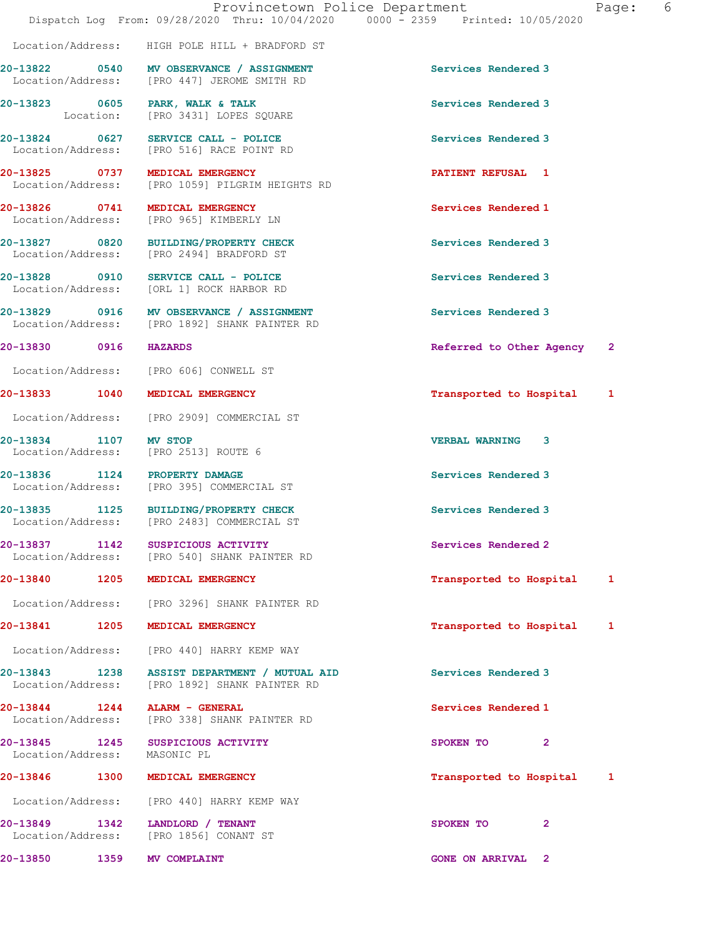|                               | Dispatch Log From: 09/28/2020 Thru: 10/04/2020 0000 - 2359 Printed: 10/05/2020            | Provincetown Police Department           | Page: 6 |
|-------------------------------|-------------------------------------------------------------------------------------------|------------------------------------------|---------|
|                               | Location/Address: HIGH POLE HILL + BRADFORD ST                                            |                                          |         |
|                               | 20-13822 0540 MV OBSERVANCE / ASSIGNMENT<br>Location/Address: [PRO 447] JEROME SMITH RD   | Services Rendered 3                      |         |
|                               | 20-13823 0605 PARK, WALK & TALK<br>Location: [PRO 3431] LOPES SQUARE                      | Services Rendered 3                      |         |
|                               | $20-13824$ 0627 SERVICE CALL - POLICE<br>Location/Address: [PRO 516] RACE POINT RD        | Services Rendered 3                      |         |
|                               | 20-13825 0737 MEDICAL EMERGENCY<br>Location/Address: [PRO 1059] PILGRIM HEIGHTS RD        | <b>PATIENT REFUSAL 1</b>                 |         |
|                               | 20-13826 0741 MEDICAL EMERGENCY<br>Location/Address: [PRO 965] KIMBERLY LN                | Services Rendered 1                      |         |
|                               | 20-13827 0820 BUILDING/PROPERTY CHECK<br>Location/Address: [PRO 2494] BRADFORD ST         | Services Rendered 3                      |         |
|                               | 20-13828 0910 SERVICE CALL - POLICE<br>Location/Address: [ORL 1] ROCK HARBOR RD           | Services Rendered 3                      |         |
|                               | 20-13829 0916 MV OBSERVANCE / ASSIGNMENT<br>Location/Address: [PRO 1892] SHANK PAINTER RD | Services Rendered 3                      |         |
| 20-13830 0916 HAZARDS         |                                                                                           | Referred to Other Agency<br>$\mathbf{2}$ |         |
|                               | Location/Address: [PRO 606] CONWELL ST                                                    |                                          |         |
|                               | 20-13833 1040 MEDICAL EMERGENCY                                                           | Transported to Hospital 1                |         |
|                               | Location/Address: [PRO 2909] COMMERCIAL ST                                                |                                          |         |
| 20-13834 1107 MV STOP         | Location/Address: [PRO 2513] ROUTE 6                                                      | <b>VERBAL WARNING 3</b>                  |         |
| 20-13836 1124 PROPERTY DAMAGE | Location/Address: [PRO 395] COMMERCIAL ST                                                 | Services Rendered 3                      |         |
|                               | 20-13835 1125 BUILDING/PROPERTY CHECK<br>Location/Address: [PRO 2483] COMMERCIAL ST       | Services Rendered 3                      |         |
|                               | 20-13837 1142 SUSPICIOUS ACTIVITY<br>Location/Address: [PRO 540] SHANK PAINTER RD         | Services Rendered 2                      |         |
|                               | 20-13840 1205 MEDICAL EMERGENCY                                                           | Transported to Hospital<br>1             |         |
|                               | Location/Address: [PRO 3296] SHANK PAINTER RD                                             |                                          |         |
|                               | 20-13841 1205 MEDICAL EMERGENCY                                                           | Transported to Hospital<br>1             |         |
|                               | Location/Address: [PRO 440] HARRY KEMP WAY                                                |                                          |         |
| 20-13843 1238                 | ASSIST DEPARTMENT / MUTUAL AID<br>Location/Address: [PRO 1892] SHANK PAINTER RD           | Services Rendered 3                      |         |
| 20-13844 1244 ALARM - GENERAL | Location/Address: [PRO 338] SHANK PAINTER RD                                              | Services Rendered 1                      |         |
| Location/Address: MASONIC PL  | 20-13845 1245 SUSPICIOUS ACTIVITY                                                         | SPOKEN TO 2                              |         |
|                               | 20-13846 1300 MEDICAL EMERGENCY                                                           | Transported to Hospital 1                |         |
|                               | Location/Address: [PRO 440] HARRY KEMP WAY                                                |                                          |         |
|                               | 20-13849 1342 LANDLORD / TENANT<br>Location/Address: [PRO 1856] CONANT ST                 | SPOKEN TO<br>$\mathbf{2}$                |         |
| 20-13850 1359 MV COMPLAINT    |                                                                                           | <b>GONE ON ARRIVAL 2</b>                 |         |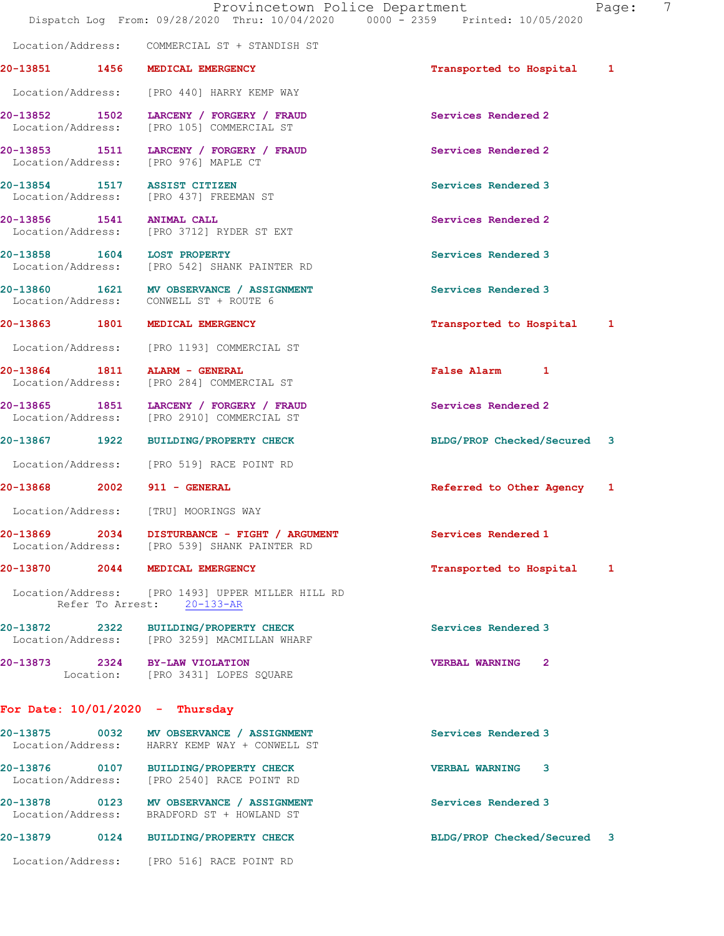|                             | Provincetown Police Department<br>Dispatch Log From: 09/28/2020 Thru: 10/04/2020 0000 - 2359 Printed: 10/05/2020   |                                       | 7<br>Page: |  |
|-----------------------------|--------------------------------------------------------------------------------------------------------------------|---------------------------------------|------------|--|
|                             | Location/Address: COMMERCIAL ST + STANDISH ST                                                                      |                                       |            |  |
|                             | 20-13851 1456 MEDICAL EMERGENCY                                                                                    | Transported to Hospital 1             |            |  |
|                             | Location/Address: [PRO 440] HARRY KEMP WAY                                                                         |                                       |            |  |
|                             | 20-13852 1502 LARCENY / FORGERY / FRAUD<br>Location/Address: [PRO 105] COMMERCIAL ST                               | Services Rendered 2                   |            |  |
|                             | 20-13853 1511 LARCENY / FORGERY / FRAUD<br>Location/Address: [PRO 976] MAPLE CT                                    | Services Rendered 2                   |            |  |
|                             | 20-13854 1517 ASSIST CITIZEN<br>Location/Address: [PRO 437] FREEMAN ST                                             | Services Rendered 3                   |            |  |
|                             | 20-13856 1541 ANIMAL CALL<br>Location/Address: [PRO 3712] RYDER ST EXT                                             | Services Rendered 2                   |            |  |
|                             | 20-13858 1604 LOST PROPERTY<br>Location/Address: [PRO 542] SHANK PAINTER RD                                        | Services Rendered 3                   |            |  |
|                             | 20-13860 1621 MV OBSERVANCE / ASSIGNMENT<br>Location/Address: CONWELL ST + ROUTE 6                                 | Services Rendered 3                   |            |  |
|                             | 20-13863 1801 MEDICAL EMERGENCY                                                                                    | Transported to Hospital 1             |            |  |
|                             | Location/Address: [PRO 1193] COMMERCIAL ST                                                                         |                                       |            |  |
|                             | 20-13864 1811 ALARM - GENERAL<br>Location/Address: [PRO 284] COMMERCIAL ST                                         | False Alarm 1                         |            |  |
|                             | 20-13865 1851 LARCENY / FORGERY / FRAUD<br>Location/Address: [PRO 2910] COMMERCIAL ST                              | Services Rendered 2                   |            |  |
|                             | 20-13867 1922 BUILDING/PROPERTY CHECK                                                                              | BLDG/PROP Checked/Secured 3           |            |  |
|                             | Location/Address: [PRO 519] RACE POINT RD                                                                          |                                       |            |  |
| 20-13868 2002 911 - GENERAL |                                                                                                                    | Referred to Other Agency 1            |            |  |
|                             | Location/Address: [TRU] MOORINGS WAY                                                                               |                                       |            |  |
|                             | 20-13869 2034 DISTURBANCE - FIGHT / ARGUMENT<br>Location/Address: [PRO 539] SHANK PAINTER RD                       | Services Rendered 1                   |            |  |
|                             | 20-13870 2044 MEDICAL EMERGENCY<br>Location/Address: [PRO 1493] UPPER MILLER HILL RD<br>Refer To Arrest: 20-133-AR | Transported to Hospital 1             |            |  |
|                             | 20-13872 2322 BUILDING/PROPERTY CHECK<br>Location/Address: [PRO 3259] MACMILLAN WHARF                              | Services Rendered 3                   |            |  |
|                             | 20-13873 2324 BY-LAW VIOLATION<br>Location: [PRO 3431] LOPES SQUARE                                                | <b>VERBAL WARNING</b><br>$\mathbf{2}$ |            |  |
|                             | For Date: $10/01/2020$ - Thursday                                                                                  |                                       |            |  |
|                             | 20-13875 0032 MV OBSERVANCE / ASSIGNMENT<br>Location/Address: HARRY KEMP WAY + CONWELL ST                          | Services Rendered 3                   |            |  |
|                             | 20-13876 0107 BUILDING/PROPERTY CHECK<br>Location/Address: [PRO 2540] RACE POINT RD                                | <b>VERBAL WARNING 3</b>               |            |  |

20-13878 0123 MV OBSERVANCE / ASSIGNMENT Services Rendered 3 Location/Address: BRADFORD ST + HOWLAND ST

20-13879 0124 BUILDING/PROPERTY CHECK BLDG/PROP Checked/Secured 3

Location/Address: [PRO 516] RACE POINT RD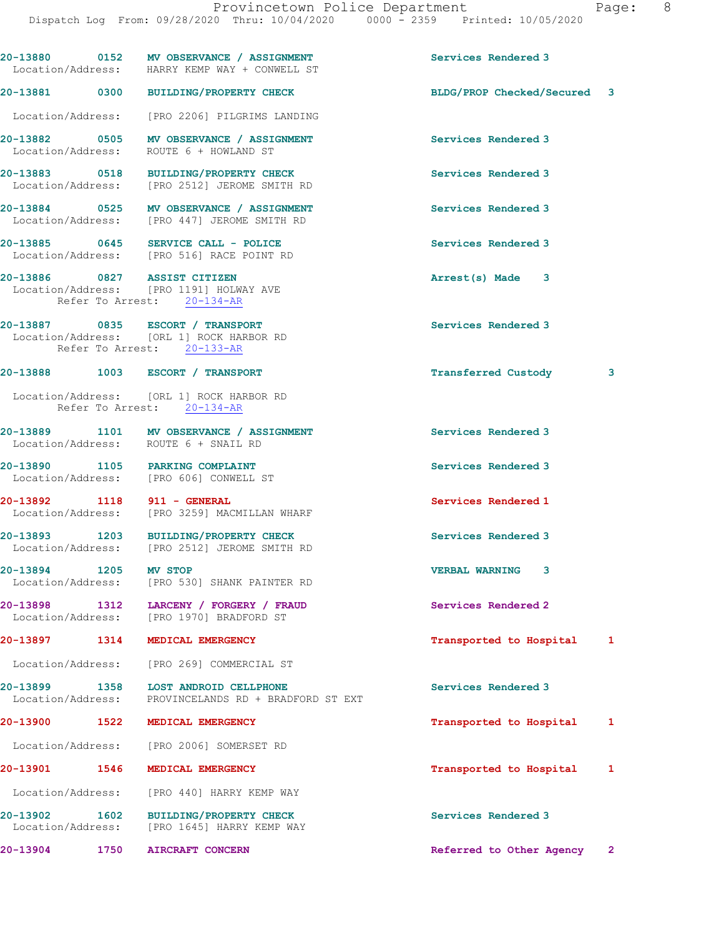|                             |      | 20-13880 0152 MV OBSERVANCE / ASSIGNMENT<br>Location/Address: HARRY KEMP WAY + CONWELL ST                  | Services Rendered 3         |              |
|-----------------------------|------|------------------------------------------------------------------------------------------------------------|-----------------------------|--------------|
|                             |      | 20-13881 0300 BUILDING/PROPERTY CHECK                                                                      | BLDG/PROP Checked/Secured 3 |              |
|                             |      | Location/Address: [PRO 2206] PILGRIMS LANDING                                                              |                             |              |
|                             |      | 20-13882 0505 MV OBSERVANCE / ASSIGNMENT<br>Location/Address: ROUTE 6 + HOWLAND ST                         | <b>Services Rendered 3</b>  |              |
|                             |      | 20-13883 0518 BUILDING/PROPERTY CHECK<br>Location/Address: [PRO 2512] JEROME SMITH RD                      | Services Rendered 3         |              |
|                             |      | 20-13884 0525 MV OBSERVANCE / ASSIGNMENT<br>Location/Address: [PRO 447] JEROME SMITH RD                    | <b>Services Rendered 3</b>  |              |
|                             |      | 20-13885 0645 SERVICE CALL - POLICE<br>Location/Address: [PRO 516] RACE POINT RD                           | Services Rendered 3         |              |
|                             |      | 20-13886 0827 ASSIST CITIZEN<br>Location/Address: [PRO 1191] HOLWAY AVE<br>Refer To Arrest: 20-134-AR      | Arrest(s) Made 3            |              |
|                             |      | 20-13887 0835 ESCORT / TRANSPORT<br>Location/Address: [ORL 1] ROCK HARBOR RD<br>Refer To Arrest: 20-133-AR | Services Rendered 3         |              |
|                             |      | 20-13888 1003 ESCORT / TRANSPORT                                                                           | Transferred Custody         | 3            |
|                             |      | Location/Address: [ORL 1] ROCK HARBOR RD<br>Refer To Arrest: 20-134-AR                                     |                             |              |
|                             |      | 20-13889 1101 MV OBSERVANCE / ASSIGNMENT<br>Location/Address: ROUTE 6 + SNAIL RD                           | Services Rendered 3         |              |
|                             |      | 20-13890 1105 PARKING COMPLAINT<br>Location/Address: [PRO 606] CONWELL ST                                  | Services Rendered 3         |              |
| 20-13892 1118 911 - GENERAL |      | Location/Address: [PRO 3259] MACMILLAN WHARF                                                               | Services Rendered 1         |              |
|                             |      | 20-13893 1203 BUILDING/PROPERTY CHECK<br>Location/Address: [PRO 2512] JEROME SMITH RD                      | Services Rendered 3         |              |
| 20-13894 1205               |      | MV STOP<br>Location/Address: [PRO 530] SHANK PAINTER RD                                                    | VERBAL WARNING 3            |              |
|                             |      | 20-13898 1312 LARCENY / FORGERY / FRAUD<br>Location/Address: [PRO 1970] BRADFORD ST                        | Services Rendered 2         |              |
|                             |      | 20-13897 1314 MEDICAL EMERGENCY                                                                            | Transported to Hospital     | 1            |
|                             |      | Location/Address: [PRO 269] COMMERCIAL ST                                                                  |                             |              |
|                             |      | 20-13899 1358 LOST ANDROID CELLPHONE<br>Location/Address: PROVINCELANDS RD + BRADFORD ST EXT               | Services Rendered 3         |              |
|                             |      | 20-13900 1522 MEDICAL EMERGENCY                                                                            | Transported to Hospital     | 1            |
|                             |      | Location/Address: [PRO 2006] SOMERSET RD                                                                   |                             |              |
|                             |      | 20-13901 1546 MEDICAL EMERGENCY                                                                            | Transported to Hospital     | 1            |
|                             |      | Location/Address: [PRO 440] HARRY KEMP WAY                                                                 |                             |              |
| 20-13902                    | 1602 | <b>BUILDING/PROPERTY CHECK</b><br>Location/Address: [PRO 1645] HARRY KEMP WAY                              | Services Rendered 3         |              |
| 20-13904                    | 1750 | <b>AIRCRAFT CONCERN</b>                                                                                    | Referred to Other Agency    | $\mathbf{2}$ |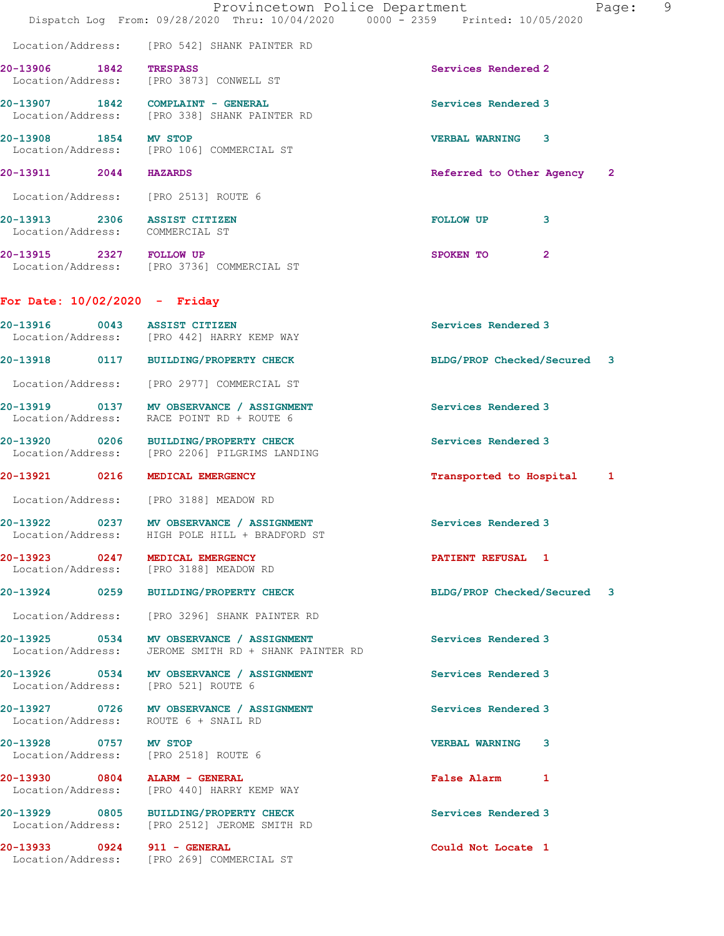|                                                                 | Provincetown Police Department<br>Dispatch Log From: 09/28/2020 Thru: 10/04/2020 0000 - 2359 Printed: 10/05/2020 | Page:                                    |
|-----------------------------------------------------------------|------------------------------------------------------------------------------------------------------------------|------------------------------------------|
|                                                                 | Location/Address: [PRO 542] SHANK PAINTER RD                                                                     |                                          |
| 20-13906 1842                                                   | <b>TRESPASS</b><br>Location/Address: [PRO 3873] CONWELL ST                                                       | Services Rendered 2                      |
|                                                                 | 20-13907 1842 COMPLAINT - GENERAL<br>Location/Address: [PRO 338] SHANK PAINTER RD                                | Services Rendered 3                      |
| 20-13908 1854                                                   | MV STOP<br>Location/Address: [PRO 106] COMMERCIAL ST                                                             | VERBAL WARNING 3                         |
| 20-13911 2044                                                   | <b>HAZARDS</b>                                                                                                   | Referred to Other Agency<br>$\mathbf{2}$ |
| Location/Address: [PRO 2513] ROUTE 6                            |                                                                                                                  |                                          |
| 20-13913 2306 ASSIST CITIZEN<br>Location/Address: COMMERCIAL ST |                                                                                                                  | 3<br><b>FOLLOW UP</b>                    |
| 20-13915 2327 FOLLOW UP                                         | Location/Address: [PRO 3736] COMMERCIAL ST                                                                       | SPOKEN TO<br>$\mathbf{2}$                |
| For Date: $10/02/2020 -$ Friday                                 |                                                                                                                  |                                          |
| 20-13916 0043 ASSIST CITIZEN                                    | Location/Address: [PRO 442] HARRY KEMP WAY                                                                       | Services Rendered 3                      |
|                                                                 | 20-13918 0117 BUILDING/PROPERTY CHECK                                                                            | BLDG/PROP Checked/Secured 3              |
| Location/Address:                                               | [PRO 2977] COMMERCIAL ST                                                                                         |                                          |
| Location/Address:                                               | 20-13919 0137 MV OBSERVANCE / ASSIGNMENT<br>RACE POINT RD + ROUTE 6                                              | Services Rendered 3                      |
| 20-13920 0206                                                   | <b>BUILDING/PROPERTY CHECK</b><br>Location/Address: [PRO 2206] PILGRIMS LANDING                                  | Services Rendered 3                      |
| 20-13921 0216                                                   | MEDICAL EMERGENCY                                                                                                | Transported to Hospital 1                |
|                                                                 | Location/Address: [PRO 3188] MEADOW RD                                                                           |                                          |
| 0237<br>20-13922<br>Location/Address:                           | MV OBSERVANCE / ASSIGNMENT<br>HIGH POLE HILL + BRADFORD ST                                                       | Services Rendered 3                      |
| 20-13923 0247 MEDICAL EMERGENCY                                 | Location/Address: [PRO 3188] MEADOW RD                                                                           | <b>PATIENT REFUSAL 1</b>                 |
|                                                                 | 20-13924 0259 BUILDING/PROPERTY CHECK                                                                            | BLDG/PROP Checked/Secured 3              |
|                                                                 | Location/Address: [PRO 3296] SHANK PAINTER RD                                                                    |                                          |
|                                                                 | 20-13925 0534 MV OBSERVANCE / ASSIGNMENT<br>Location/Address: JEROME SMITH RD + SHANK PAINTER RD                 | Services Rendered 3                      |
| Location/Address: [PRO 521] ROUTE 6                             | 20-13926 0534 MV OBSERVANCE / ASSIGNMENT                                                                         | Services Rendered 3                      |
| Location/Address: ROUTE 6 + SNAIL RD                            | 20-13927 0726 MV OBSERVANCE / ASSIGNMENT                                                                         | Services Rendered 3                      |
| 20-13928 0757 MV STOP                                           | Location/Address: [PRO 2518] ROUTE 6                                                                             | <b>VERBAL WARNING 3</b>                  |
| 20-13930 0804 ALARM - GENERAL                                   | Location/Address: [PRO 440] HARRY KEMP WAY                                                                       | False Alarm 1                            |
|                                                                 | 20-13929 0805 BUILDING/PROPERTY CHECK<br>Location/Address: [PRO 2512] JEROME SMITH RD                            | Services Rendered 3                      |
| 20-13933 0924 911 - GENERAL                                     | Location/Address: [PRO 269] COMMERCIAL ST                                                                        | Could Not Locate 1                       |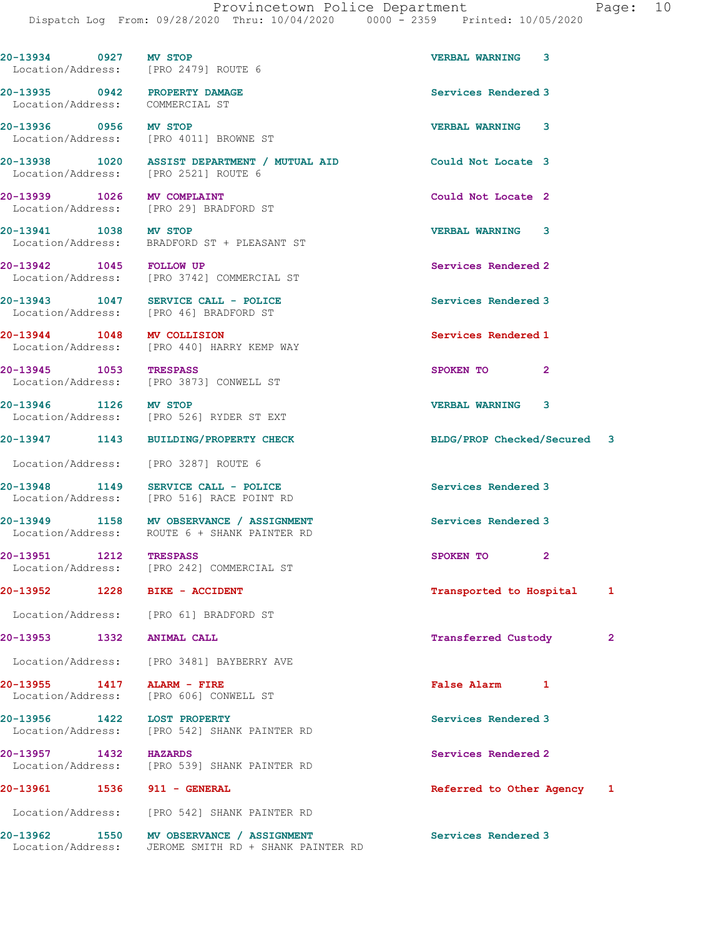| 20-13934 0927 MV STOP           | Location/Address: [PRO 2479] ROUTE 6                                                             | VERBAL WARNING 3            |   |
|---------------------------------|--------------------------------------------------------------------------------------------------|-----------------------------|---|
| Location/Address: COMMERCIAL ST | 20-13935 0942 PROPERTY DAMAGE                                                                    | Services Rendered 3         |   |
| 20-13936 0956 MV STOP           | Location/Address: [PRO 4011] BROWNE ST                                                           | VERBAL WARNING 3            |   |
|                                 | 20-13938 1020 ASSIST DEPARTMENT / MUTUAL AID<br>Location/Address: [PRO 2521] ROUTE 6             | Could Not Locate 3          |   |
| 20-13939 1026 MV COMPLAINT      | Location/Address: [PRO 29] BRADFORD ST                                                           | Could Not Locate 2          |   |
| 20-13941 1038 MV STOP           | Location/Address: BRADFORD ST + PLEASANT ST                                                      | VERBAL WARNING 3            |   |
| 20-13942 1045 FOLLOW UP         | Location/Address: [PRO 3742] COMMERCIAL ST                                                       | Services Rendered 2         |   |
|                                 | 20-13943 1047 SERVICE CALL - POLICE<br>Location/Address: [PRO 46] BRADFORD ST                    | Services Rendered 3         |   |
| 20-13944 1048 MV COLLISION      | Location/Address: [PRO 440] HARRY KEMP WAY                                                       | Services Rendered 1         |   |
| 20-13945 1053 TRESPASS          | Location/Address: [PRO 3873] CONWELL ST                                                          | SPOKEN TO<br>$\mathbf{2}$   |   |
| 20-13946 1126 MV STOP           | Location/Address: [PRO 526] RYDER ST EXT                                                         | <b>VERBAL WARNING</b><br>3  |   |
|                                 | 20-13947 1143 BUILDING/PROPERTY CHECK                                                            | BLDG/PROP Checked/Secured 3 |   |
|                                 | Location/Address: [PRO 3287] ROUTE 6                                                             |                             |   |
|                                 | 20-13948 1149 SERVICE CALL - POLICE<br>Location/Address: [PRO 516] RACE POINT RD                 | Services Rendered 3         |   |
|                                 | 20-13949 1158 MV OBSERVANCE / ASSIGNMENT<br>Location/Address: ROUTE 6 + SHANK PAINTER RD         | Services Rendered 3         |   |
| 20-13951 1212 TRESPASS          | Location/Address: [PRO 242] COMMERCIAL ST                                                        | SPOKEN TO<br>$\mathbf{2}$   |   |
|                                 | 20-13952 1228 BIKE - ACCIDENT                                                                    | Transported to Hospital     | 1 |
|                                 | Location/Address: [PRO 61] BRADFORD ST                                                           |                             |   |
| 20-13953 1332 ANIMAL CALL       |                                                                                                  | Transferred Custody         | 2 |
|                                 | Location/Address: [PRO 3481] BAYBERRY AVE                                                        |                             |   |
| 20-13955 1417 ALARM - FIRE      | Location/Address: [PRO 606] CONWELL ST                                                           | <b>False Alarm</b><br>1     |   |
| 20-13956 1422 LOST PROPERTY     | Location/Address: [PRO 542] SHANK PAINTER RD                                                     | Services Rendered 3         |   |
| 20-13957 1432 HAZARDS           | Location/Address: [PRO 539] SHANK PAINTER RD                                                     | Services Rendered 2         |   |
| 20-13961 1536 911 - GENERAL     |                                                                                                  | Referred to Other Agency 1  |   |
|                                 | Location/Address: [PRO 542] SHANK PAINTER RD                                                     |                             |   |
|                                 | 20-13962 1550 MV OBSERVANCE / ASSIGNMENT<br>Location/Address: JEROME SMITH RD + SHANK PAINTER RD | Services Rendered 3         |   |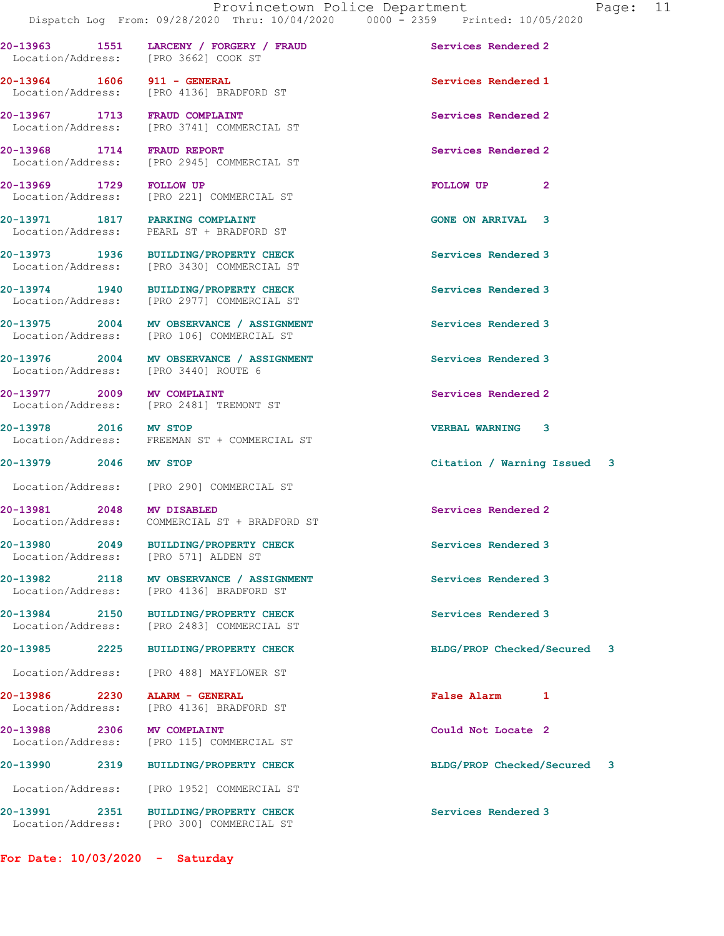20-13963 1551 LARCENY / FORGERY / FRAUD Services Rendered 2

20-13964 1606 911 - GENERAL Services Rendered 1

20-13967 1713 FRAUD COMPLAINT Services Rendered 2

20-13968 1714 FRAUD REPORT Services Rendered 2

Location/Address: [PRO 3662] COOK ST

Location/Address: [PRO 4136] BRADFORD ST

Location/Address: [PRO 3741] COMMERCIAL ST

Location/Address: [PRO 2945] COMMERCIAL ST

20-13969 1729 FOLLOW UP FOLLOW UP 2 Location/Address: [PRO 221] COMMERCIAL ST 20-13971 1817 PARKING COMPLAINT 1997 1817 1817 1818 Location/Address: PEARL ST + BRADFORD ST 20-13973 1936 BUILDING/PROPERTY CHECK Services Rendered 3<br>
Location/Address: [PRO 3430] COMMERCIAL ST [PRO 3430] COMMERCIAL ST 20-13974 1940 BUILDING/PROPERTY CHECK Services Rendered 3 Location/Address: [PRO 2977] COMMERCIAL ST 20-13975 2004 MV OBSERVANCE / ASSIGNMENT Services Rendered 3 Location/Address: [PRO 106] COMMERCIAL ST 20-13976 2004 MV OBSERVANCE / ASSIGNMENT Services Rendered 3 Location/Address: [PRO 3440] ROUTE 6 20-13977 2009 MV COMPLAINT 2000 2000 Services Rendered 2 Location/Address: [PRO 2481] TREMONT ST 20-13978 2016 MV STOP<br>
Location/Address: FREEMAN ST + COMMERCIAL ST FREEMAN ST + COMMERCIAL ST 20-13979 2046 MV STOP Citation / Warning Issued 3 Location/Address: [PRO 290] COMMERCIAL ST 20-13981 2048 MV DISABLED Services Rendered 2 Location/Address: COMMERCIAL ST + BRADFORD ST 20-13980 2049 BUILDING/PROPERTY CHECK Services Rendered 3 Location/Address: [PRO 571] ALDEN ST 20-13982 2118 MV OBSERVANCE / ASSIGNMENT Services Rendered 3 Location/Address: [PRO 4136] BRADFORD ST 20-13984 2150 BUILDING/PROPERTY CHECK Services Rendered 3 Location/Address: [PRO 2483] COMMERCIAL ST 20-13985 2225 BUILDING/PROPERTY CHECK BLDG/PROP Checked/Secured 3 Location/Address: [PRO 488] MAYFLOWER ST 20-13986 2230 ALARM - GENERAL False Alarm 1 Location/Address: [PRO 4136] BRADFORD ST 20-13988 2306 MV COMPLAINT<br>
Location/Address: [PRO 115] COMMERCIAL ST Could Not Locate 2

20-13990 2319 BUILDING/PROPERTY CHECK BLDG/PROP Checked/Secured 3 Location/Address: [PRO 1952] COMMERCIAL ST 20-13991 2351 BUILDING/PROPERTY CHECK Services Rendered 3 Location/Address: [PRO 300] COMMERCIAL ST

For Date: 10/03/2020 - Saturday

[PRO 115] COMMERCIAL ST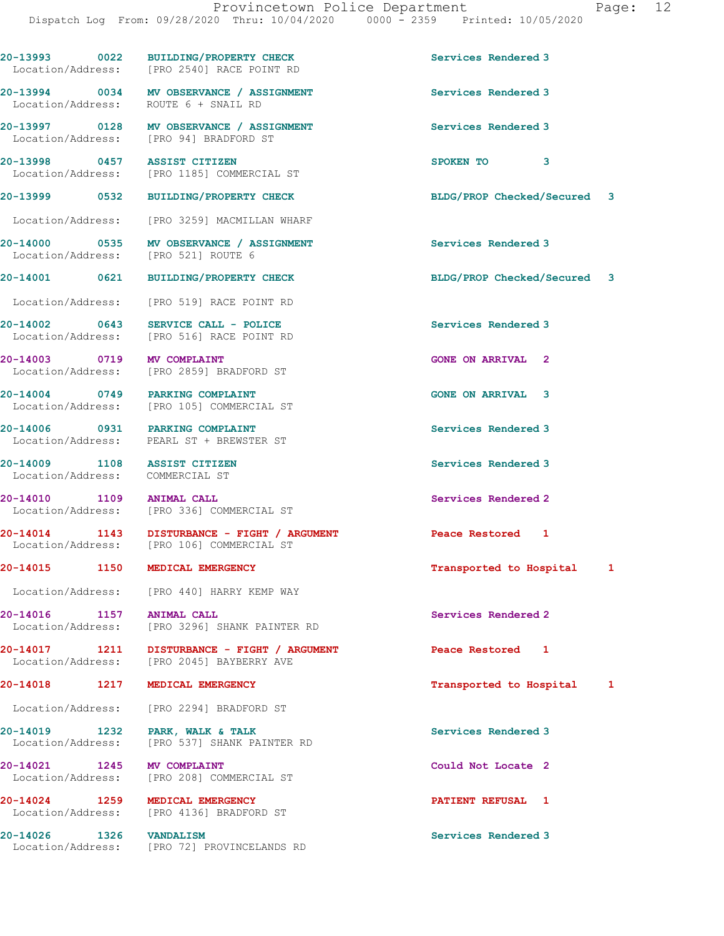20-13993 0022 BUILDING/PROPERTY CHECK Services Rendered 3 Location/Address: [PRO 2540] RACE POINT RD 20-13994 0034 MV OBSERVANCE / ASSIGNMENT Services Rendered 3 Location/Address: ROUTE 6 + SNAIL RD 20-13997 0128 MV OBSERVANCE / ASSIGNMENT Services Rendered 3 Location/Address: [PRO 94] BRADFORD ST 20-13998 0457 ASSIST CITIZEN SPOKEN TO 3 Location/Address: [PRO 1185] COMMERCIAL ST 20-13999 0532 BUILDING/PROPERTY CHECK BLDG/PROP Checked/Secured 3 Location/Address: [PRO 3259] MACMILLAN WHARF 20-14000 0535 MV OBSERVANCE / ASSIGNMENT Services Rendered 3 Location/Address: [PRO 521] ROUTE 6 20-14001 0621 BUILDING/PROPERTY CHECK BLDG/PROP Checked/Secured 3 Location/Address: [PRO 519] RACE POINT RD 20-14002 0643 SERVICE CALL - POLICE Services Rendered 3 [PRO 516] RACE POINT RD 20-14003 0719 MV COMPLAINT GONE ON ARRIVAL 2 Location/Address: [PRO 2859] BRADFORD ST 20-14004 0749 PARKING COMPLAINT GONE ON ARRIVAL 3 Location/Address: [PRO 105] COMMERCIAL ST 20-14006 0931 PARKING COMPLAINT Services Rendered 3 Location/Address: PEARL ST + BREWSTER ST 20-14009 1108 ASSIST CITIZEN Services Rendered 3 Location/Address: COMMERCIAL ST 20-14010 1109 ANIMAL CALL Services Rendered 2 Location/Address: [PRO 336] COMMERCIAL ST 20-14014 1143 DISTURBANCE - FIGHT / ARGUMENT Peace Restored 1 Location/Address: [PRO 106] COMMERCIAL ST 20-14015 1150 MEDICAL EMERGENCY Transported to Hospital 1 Location/Address: [PRO 440] HARRY KEMP WAY 20-14016 1157 ANIMAL CALL Services Rendered 2 Location/Address: [PRO 3296] SHANK PAINTER RD 20-14017 1211 DISTURBANCE - FIGHT / ARGUMENT Peace Restored 1 Location/Address: [PRO 2045] BAYBERRY AVE [PRO 2045] BAYBERRY AVE 20-14018 1217 MEDICAL EMERGENCY Transported to Hospital 1 Location/Address: [PRO 2294] BRADFORD ST 20-14019 1232 PARK, WALK & TALK Services Rendered 3 Location/Address: [PRO 537] SHANK PAINTER RD 20-14021 1245 MV COMPLAINT Could Not Locate 2 [PRO 208] COMMERCIAL ST 20-14024 1259 MEDICAL EMERGENCY PATIENT REFUSAL 1 Location/Address: [PRO 4136] BRADFORD ST 20-14026 1326 VANDALISM Services Rendered 3<br>
Location/Address: [PRO 72] PROVINCELANDS RD [PRO 72] PROVINCELANDS RD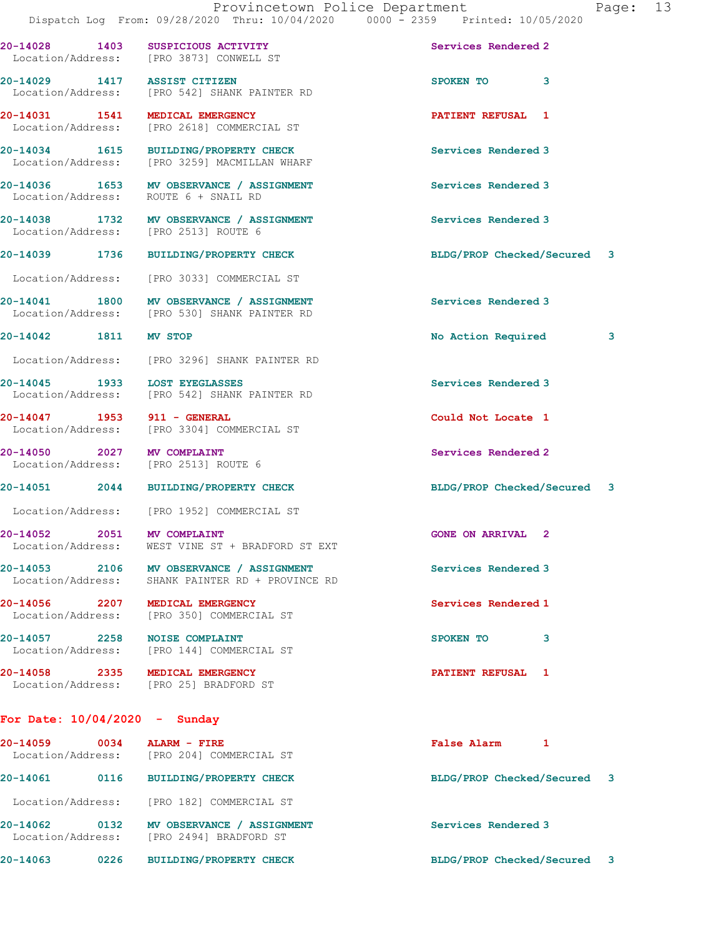| 20-14028 1403                                                      | SUSPICIOUS ACTIVITY<br>Location/Address: [PRO 3873] CONWELL ST                           | Services Rendered 2         |   |
|--------------------------------------------------------------------|------------------------------------------------------------------------------------------|-----------------------------|---|
|                                                                    | 20-14029 1417 ASSIST CITIZEN<br>Location/Address: [PRO 542] SHANK PAINTER RD             | SPOKEN TO<br>3              |   |
| 20-14031 1541 MEDICAL EMERGENCY                                    | Location/Address: [PRO 2618] COMMERCIAL ST                                               | PATIENT REFUSAL 1           |   |
|                                                                    | 20-14034 1615 BUILDING/PROPERTY CHECK<br>Location/Address: [PRO 3259] MACMILLAN WHARF    | Services Rendered 3         |   |
| Location/Address: ROUTE 6 + SNAIL RD                               | 20-14036 1653 MV OBSERVANCE / ASSIGNMENT                                                 | Services Rendered 3         |   |
| Location/Address: [PRO 2513] ROUTE 6                               | 20-14038 1732 MV OBSERVANCE / ASSIGNMENT                                                 | Services Rendered 3         |   |
|                                                                    | 20-14039 1736 BUILDING/PROPERTY CHECK                                                    | BLDG/PROP Checked/Secured 3 |   |
|                                                                    | Location/Address: [PRO 3033] COMMERCIAL ST                                               |                             |   |
|                                                                    | 20-14041 1800 MV OBSERVANCE / ASSIGNMENT<br>Location/Address: [PRO 530] SHANK PAINTER RD | Services Rendered 3         |   |
| 20-14042 1811 MV STOP                                              |                                                                                          | No Action Required          | 3 |
|                                                                    | Location/Address: [PRO 3296] SHANK PAINTER RD                                            |                             |   |
| 20-14045 1933 LOST EYEGLASSES                                      | Location/Address: [PRO 542] SHANK PAINTER RD                                             | Services Rendered 3         |   |
| 20-14047 1953 911 - GENERAL                                        | Location/Address: [PRO 3304] COMMERCIAL ST                                               | Could Not Locate 1          |   |
| 20-14050 2027 MV COMPLAINT<br>Location/Address: [PRO 2513] ROUTE 6 |                                                                                          | Services Rendered 2         |   |
|                                                                    | 20-14051 2044 BUILDING/PROPERTY CHECK                                                    | BLDG/PROP Checked/Secured 3 |   |
|                                                                    | Location/Address: [PRO 1952] COMMERCIAL ST                                               |                             |   |
| 20-14052 2051 MV COMPLAINT                                         | Location/Address: WEST VINE ST + BRADFORD ST EXT                                         | <b>GONE ON ARRIVAL 2</b>    |   |
| Location/Address:                                                  | 20-14053 2106 MV OBSERVANCE / ASSIGNMENT<br>SHANK PAINTER RD + PROVINCE RD               | Services Rendered 3         |   |
| 20-14056 2207 MEDICAL EMERGENCY<br>Location/Address:               | [PRO 350] COMMERCIAL ST                                                                  | Services Rendered 1         |   |
| 20-14057 2258 NOISE COMPLAINT<br>Location/Address:                 | [PRO 144] COMMERCIAL ST                                                                  | SPOKEN TO<br>3              |   |
| 20-14058 2335 MEDICAL EMERGENCY                                    | Location/Address: [PRO 25] BRADFORD ST                                                   | PATIENT REFUSAL 1           |   |
|                                                                    |                                                                                          |                             |   |

## For Date: 10/04/2020 - Sunday

| 20-14059<br>Location/Address: | 0034 | ALARM - FIRE<br>[PRO 204] COMMERCIAL ST              | False Alarm               |                         |
|-------------------------------|------|------------------------------------------------------|---------------------------|-------------------------|
| 20-14061                      | 0116 | <b>BUILDING/PROPERTY CHECK</b>                       | BLDG/PROP Checked/Secured | $\overline{\mathbf{3}}$ |
| Location/Address:             |      | [PRO 182] COMMERCIAL ST                              |                           |                         |
| 20-14062<br>Location/Address: | 0132 | MV OBSERVANCE / ASSIGNMENT<br>[PRO 2494] BRADFORD ST | Services Rendered 3       |                         |
| 20-14063                      | 0226 | <b>BUILDING/PROPERTY CHECK</b>                       | BLDG/PROP Checked/Secured | $\mathbf{3}$            |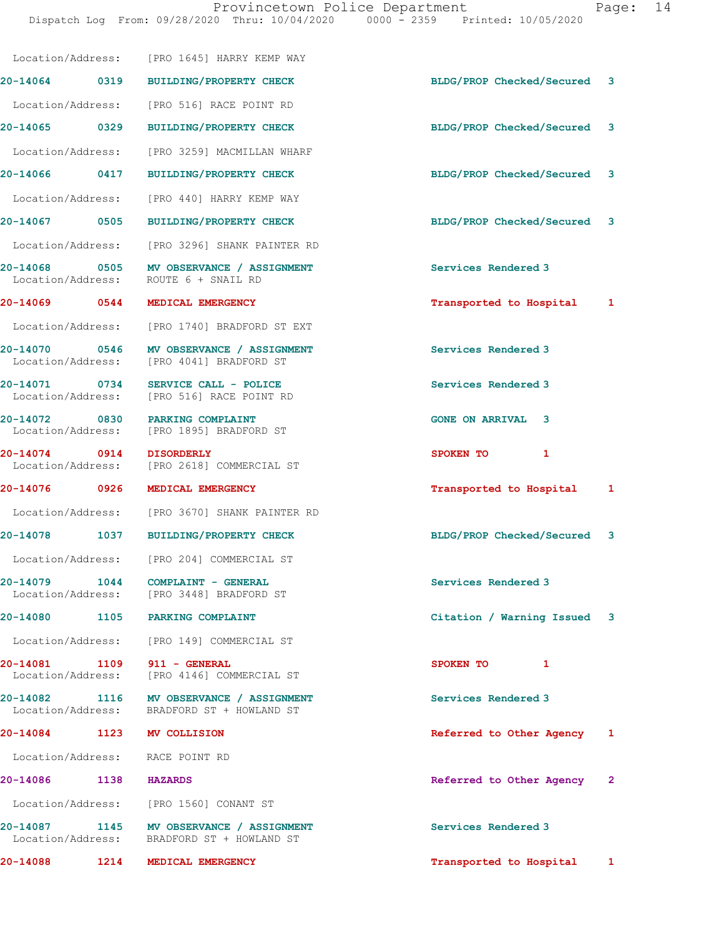Dispatch Log From: 09/28/2020 Thru: 10/04/2020 0000 - 2359 Printed: 10/05/2020

| 20-14088                           | 1214 | MEDICAL EMERGENCY                                                                      | Transported to Hospital     | 1            |
|------------------------------------|------|----------------------------------------------------------------------------------------|-----------------------------|--------------|
| 20-14087<br>Location/Address:      | 1145 | MV OBSERVANCE / ASSIGNMENT<br>BRADFORD ST + HOWLAND ST                                 | Services Rendered 3         |              |
| Location/Address:                  |      | [PRO 1560] CONANT ST                                                                   |                             |              |
| 20-14086                           | 1138 | <b>HAZARDS</b>                                                                         | Referred to Other Agency 2  |              |
|                                    |      | Location/Address: RACE POINT RD                                                        |                             |              |
| 20-14084                           | 1123 | <b>MV COLLISION</b>                                                                    | Referred to Other Agency    | 1            |
|                                    |      | 20-14082 1116 MV OBSERVANCE / ASSIGNMENT<br>Location/Address: BRADFORD ST + HOWLAND ST | Services Rendered 3         |              |
| 20-14081 1109<br>Location/Address: |      | 911 - GENERAL<br>[PRO 4146] COMMERCIAL ST                                              | SPOKEN TO<br>1              |              |
| Location/Address:                  |      | [PRO 149] COMMERCIAL ST                                                                |                             |              |
| 20-14080                           | 1105 | PARKING COMPLAINT                                                                      | Citation / Warning Issued 3 |              |
| 20-14079                           | 1044 | COMPLAINT - GENERAL<br>Location/Address: [PRO 3448] BRADFORD ST                        | Services Rendered 3         |              |
|                                    |      | Location/Address: [PRO 204] COMMERCIAL ST                                              |                             |              |
|                                    |      | 20-14078 1037 BUILDING/PROPERTY CHECK                                                  | BLDG/PROP Checked/Secured 3 |              |
|                                    |      | Location/Address: [PRO 3670] SHANK PAINTER RD                                          |                             |              |
| 20-14076 0926                      |      | MEDICAL EMERGENCY                                                                      | Transported to Hospital     | $\mathbf{1}$ |
| 20-14074 0914                      |      | <b>DISORDERLY</b><br>Location/Address: [PRO 2618] COMMERCIAL ST                        | 1<br>SPOKEN TO              |              |
|                                    |      | 20-14072 0830 PARKING COMPLAINT<br>Location/Address: [PRO 1895] BRADFORD ST            | <b>GONE ON ARRIVAL 3</b>    |              |
|                                    |      | 20-14071 0734 SERVICE CALL - POLICE<br>Location/Address: [PRO 516] RACE POINT RD       | Services Rendered 3         |              |
|                                    |      | 20-14070 0546 MV OBSERVANCE / ASSIGNMENT<br>Location/Address: [PRO 4041] BRADFORD ST   | Services Rendered 3         |              |
|                                    |      | Location/Address: [PRO 1740] BRADFORD ST EXT                                           |                             |              |
|                                    |      | 20-14069 0544 MEDICAL EMERGENCY                                                        | Transported to Hospital 1   |              |
|                                    |      | 20-14068 0505 MV OBSERVANCE / ASSIGNMENT<br>Location/Address: ROUTE 6 + SNAIL RD       | Services Rendered 3         |              |
|                                    |      | Location/Address: [PRO 3296] SHANK PAINTER RD                                          |                             |              |
| 20-14067 0505                      |      | <b>BUILDING/PROPERTY CHECK</b>                                                         | BLDG/PROP Checked/Secured 3 |              |
| Location/Address:                  |      | [PRO 440] HARRY KEMP WAY                                                               |                             |              |
| 20-14066 0417                      |      | <b>BUILDING/PROPERTY CHECK</b>                                                         | BLDG/PROP Checked/Secured 3 |              |
| Location/Address:                  |      | [PRO 3259] MACMILLAN WHARF                                                             |                             |              |
| 20-14065 0329                      |      | <b>BUILDING/PROPERTY CHECK</b>                                                         | BLDG/PROP Checked/Secured 3 |              |
|                                    |      | Location/Address: [PRO 516] RACE POINT RD                                              |                             |              |
|                                    |      | 20-14064 0319 BUILDING/PROPERTY CHECK                                                  | BLDG/PROP Checked/Secured 3 |              |
|                                    |      | Location/Address: [PRO 1645] HARRY KEMP WAY                                            |                             |              |
|                                    |      |                                                                                        |                             |              |